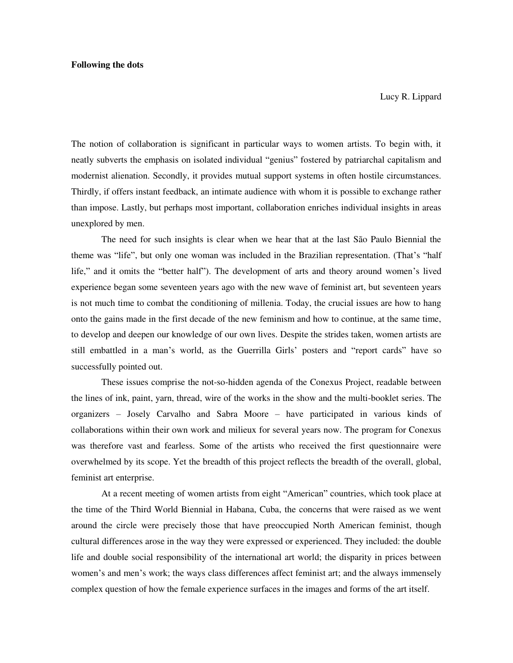Lucy R. Lippard

The notion of collaboration is significant in particular ways to women artists. To begin with, it neatly subverts the emphasis on isolated individual "genius" fostered by patriarchal capitalism and modernist alienation. Secondly, it provides mutual support systems in often hostile circumstances. Thirdly, if offers instant feedback, an intimate audience with whom it is possible to exchange rather than impose. Lastly, but perhaps most important, collaboration enriches individual insights in areas unexplored by men.

 The need for such insights is clear when we hear that at the last São Paulo Biennial the theme was "life", but only one woman was included in the Brazilian representation. (That's "half life," and it omits the "better half"). The development of arts and theory around women's lived experience began some seventeen years ago with the new wave of feminist art, but seventeen years is not much time to combat the conditioning of millenia. Today, the crucial issues are how to hang onto the gains made in the first decade of the new feminism and how to continue, at the same time, to develop and deepen our knowledge of our own lives. Despite the strides taken, women artists are still embattled in a man's world, as the Guerrilla Girls' posters and "report cards" have so successfully pointed out.

 These issues comprise the not-so-hidden agenda of the Conexus Project, readable between the lines of ink, paint, yarn, thread, wire of the works in the show and the multi-booklet series. The organizers – Josely Carvalho and Sabra Moore – have participated in various kinds of collaborations within their own work and milieux for several years now. The program for Conexus was therefore vast and fearless. Some of the artists who received the first questionnaire were overwhelmed by its scope. Yet the breadth of this project reflects the breadth of the overall, global, feminist art enterprise.

 At a recent meeting of women artists from eight "American" countries, which took place at the time of the Third World Biennial in Habana, Cuba, the concerns that were raised as we went around the circle were precisely those that have preoccupied North American feminist, though cultural differences arose in the way they were expressed or experienced. They included: the double life and double social responsibility of the international art world; the disparity in prices between women's and men's work; the ways class differences affect feminist art; and the always immensely complex question of how the female experience surfaces in the images and forms of the art itself.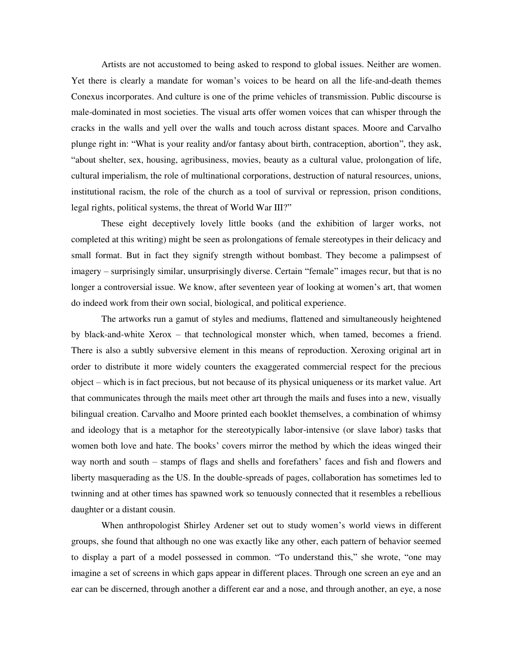Artists are not accustomed to being asked to respond to global issues. Neither are women. Yet there is clearly a mandate for woman's voices to be heard on all the life-and-death themes Conexus incorporates. And culture is one of the prime vehicles of transmission. Public discourse is male-dominated in most societies. The visual arts offer women voices that can whisper through the cracks in the walls and yell over the walls and touch across distant spaces. Moore and Carvalho plunge right in: "What is your reality and/or fantasy about birth, contraception, abortion", they ask, "about shelter, sex, housing, agribusiness, movies, beauty as a cultural value, prolongation of life, cultural imperialism, the role of multinational corporations, destruction of natural resources, unions, institutional racism, the role of the church as a tool of survival or repression, prison conditions, legal rights, political systems, the threat of World War III?"

 These eight deceptively lovely little books (and the exhibition of larger works, not completed at this writing) might be seen as prolongations of female stereotypes in their delicacy and small format. But in fact they signify strength without bombast. They become a palimpsest of imagery – surprisingly similar, unsurprisingly diverse. Certain "female" images recur, but that is no longer a controversial issue. We know, after seventeen year of looking at women's art, that women do indeed work from their own social, biological, and political experience.

 The artworks run a gamut of styles and mediums, flattened and simultaneously heightened by black-and-white Xerox – that technological monster which, when tamed, becomes a friend. There is also a subtly subversive element in this means of reproduction. Xeroxing original art in order to distribute it more widely counters the exaggerated commercial respect for the precious object – which is in fact precious, but not because of its physical uniqueness or its market value. Art that communicates through the mails meet other art through the mails and fuses into a new, visually bilingual creation. Carvalho and Moore printed each booklet themselves, a combination of whimsy and ideology that is a metaphor for the stereotypically labor-intensive (or slave labor) tasks that women both love and hate. The books' covers mirror the method by which the ideas winged their way north and south – stamps of flags and shells and forefathers' faces and fish and flowers and liberty masquerading as the US. In the double-spreads of pages, collaboration has sometimes led to twinning and at other times has spawned work so tenuously connected that it resembles a rebellious daughter or a distant cousin.

 When anthropologist Shirley Ardener set out to study women's world views in different groups, she found that although no one was exactly like any other, each pattern of behavior seemed to display a part of a model possessed in common. "To understand this," she wrote, "one may imagine a set of screens in which gaps appear in different places. Through one screen an eye and an ear can be discerned, through another a different ear and a nose, and through another, an eye, a nose